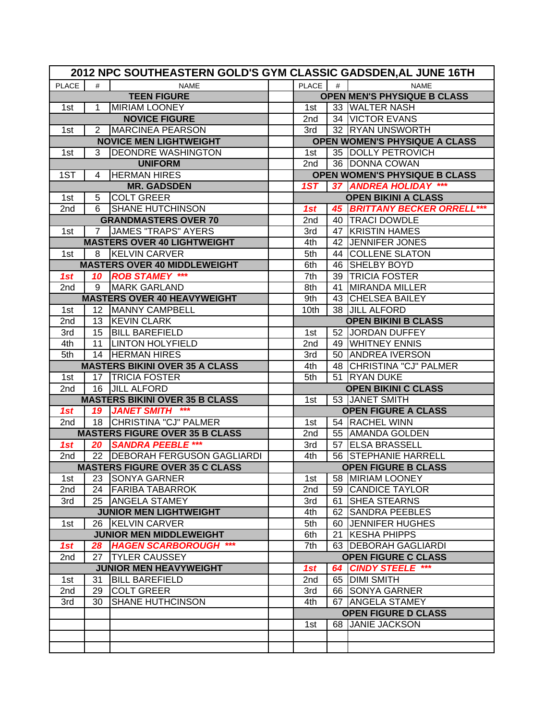|                 |                                       | 2012 NPC SOUTHEASTERN GOLD'S GYM CLASSIC GADSDEN, AL JUNE 16TH |  |                 |                            |                                      |  |  |  |
|-----------------|---------------------------------------|----------------------------------------------------------------|--|-----------------|----------------------------|--------------------------------------|--|--|--|
| <b>PLACE</b>    | #                                     | <b>NAME</b>                                                    |  | PLACE           | #                          | <b>NAME</b>                          |  |  |  |
|                 |                                       | <b>TEEN FIGURE</b>                                             |  |                 |                            | <b>OPEN MEN'S PHYSIQUE B CLASS</b>   |  |  |  |
| 1st             | $\mathbf{1}$                          | MIRIAM LOONEY                                                  |  | 1st             |                            | 33 WALTER NASH                       |  |  |  |
|                 |                                       | <b>NOVICE FIGURE</b>                                           |  | 2nd             |                            | 34 VICTOR EVANS                      |  |  |  |
| 1st             |                                       | 2 IMARCINEA PEARSON                                            |  | 3rd             |                            | 32 RYAN UNSWORTH                     |  |  |  |
|                 |                                       | <b>NOVICE MEN LIGHTWEIGHT</b>                                  |  |                 |                            | OPEN WOMEN'S PHYSIQUE A CLASS        |  |  |  |
| 1st             | 3                                     | <b>DEONDRE WASHINGTON</b>                                      |  | 1st             |                            | 35 DOLLY PETROVICH                   |  |  |  |
|                 |                                       | <b>UNIFORM</b>                                                 |  | 2nd             |                            | 36 DONNA COWAN                       |  |  |  |
| 1ST             | 4                                     | <b>HERMAN HIRES</b>                                            |  |                 |                            | <b>OPEN WOMEN'S PHYSIQUE B CLASS</b> |  |  |  |
|                 |                                       | <b>MR. GADSDEN</b>                                             |  | 1ST             |                            | 37 ANDREA HOLIDAY ***                |  |  |  |
| 1st             | 5                                     | <b>COLT GREER</b>                                              |  |                 |                            | <b>OPEN BIKINI A CLASS</b>           |  |  |  |
| 2nd             | 6                                     | <b>SHANE HUTCHINSON</b>                                        |  | 1st             |                            | <b>45 BRITTANY BECKER ORRELL***</b>  |  |  |  |
|                 |                                       | <b>GRANDMASTERS OVER 70</b>                                    |  | 2nd             |                            | 40   TRACI DOWDLE                    |  |  |  |
| 1st             | $7^{\circ}$                           | <b>JAMES "TRAPS" AYERS</b>                                     |  | 3rd             |                            | 47 KRISTIN HAMES                     |  |  |  |
|                 |                                       | <b>MASTERS OVER 40 LIGHTWEIGHT</b>                             |  | 4th             |                            | 42 JENNIFER JONES                    |  |  |  |
| 1st             |                                       | 8 KELVIN CARVER                                                |  | 5th             |                            | 44 COLLENE SLATON                    |  |  |  |
|                 |                                       | <b>MASTERS OVER 40 MIDDLEWEIGHT</b>                            |  | 6th             |                            | 46 SHELBY BOYD                       |  |  |  |
| 1st             |                                       | 10 ROB STAMEY ***                                              |  | 7th             |                            | 39 TRICIA FOSTER                     |  |  |  |
| 2nd             | 9                                     | <b>MARK GARLAND</b>                                            |  | 8th             |                            | 41 MIRANDA MILLER                    |  |  |  |
|                 |                                       | <b>MASTERS OVER 40 HEAVYWEIGHT</b>                             |  | 9th             |                            | 43 CHELSEA BAILEY                    |  |  |  |
| 1st             |                                       | 12 MANNY CAMPBELL                                              |  | 10th            |                            | 38 JILL ALFORD                       |  |  |  |
| 2nd             |                                       | 13 KEVIN CLARK                                                 |  |                 |                            | <b>OPEN BIKINI B CLASS</b>           |  |  |  |
| 3rd             |                                       | 15 BILL BAREFIELD                                              |  | 1st             |                            | 52 JORDAN DUFFEY                     |  |  |  |
| 4th             |                                       | 11   LINTON HOLYFIELD                                          |  | 2nd             |                            | 49 WHITNEY ENNIS                     |  |  |  |
| 5th             |                                       | 14 HERMAN HIRES                                                |  | 3rd             |                            | 50 ANDREA IVERSON                    |  |  |  |
|                 |                                       | <b>MASTERS BIKINI OVER 35 A CLASS</b>                          |  | 4th             |                            | 48 CHRISTINA "CJ" PALMER             |  |  |  |
| 1st             |                                       | 17   TRICIA FOSTER                                             |  | 5th             |                            | 51 RYAN DUKE                         |  |  |  |
| 2nd             |                                       | 16 JILL ALFORD                                                 |  |                 |                            | <b>OPEN BIKINI C CLASS</b>           |  |  |  |
|                 |                                       | <b>MASTERS BIKINI OVER 35 B CLASS</b>                          |  | 1st             |                            | 53 JANET SMITH                       |  |  |  |
| 1st             |                                       | 19 JANET SMITH ***                                             |  |                 |                            | <b>OPEN FIGURE A CLASS</b>           |  |  |  |
| 2nd             |                                       | 18 CHRISTINA "CJ" PALMER                                       |  | 1st             |                            | 54 RACHEL WINN                       |  |  |  |
|                 |                                       | <b>MASTERS FIGURE OVER 35 B CLASS</b>                          |  | 2nd             |                            | 55 AMANDA GOLDEN                     |  |  |  |
| 1st             |                                       | 20   SANDRA PEEBLE ***                                         |  | 3rd             |                            | 57 ELSA BRASSELL                     |  |  |  |
| 2nd             |                                       | 22 DEBORAH FERGUSON GAGLIARDI                                  |  | 4th             |                            | 56 STEPHANIE HARRELL                 |  |  |  |
|                 | <b>MASTERS FIGURE OVER 35 C CLASS</b> |                                                                |  |                 | <b>OPEN FIGURE B CLASS</b> |                                      |  |  |  |
| 1st             | 23                                    | <b>SONYA GARNER</b>                                            |  | 1st             |                            | 58 MIRIAM LOONEY                     |  |  |  |
| 2 <sub>nd</sub> | 24                                    | <b>FARIBA TABARROK</b>                                         |  | 2nd             |                            | 59 CANDICE TAYLOR                    |  |  |  |
| 3rd             |                                       | 25 ANGELA STAMEY                                               |  | 3rd             |                            | 61 SHEA STEARNS                      |  |  |  |
|                 |                                       | <b>JUNIOR MEN LIGHTWEIGHT</b>                                  |  | 4th             |                            | 62 SANDRA PEEBLES                    |  |  |  |
| 1st             |                                       | 26 KELVIN CARVER                                               |  | 5th             |                            | 60 JENNIFER HUGHES                   |  |  |  |
|                 |                                       | <b>JUNIOR MEN MIDDLEWEIGHT</b>                                 |  | 6th             |                            | 21 KESHA PHIPPS                      |  |  |  |
| 1st             |                                       | 28 HAGEN SCARBOROUGH ***                                       |  | 7th             |                            | 63 DEBORAH GAGLIARDI                 |  |  |  |
| 2nd             |                                       | 27 TYLER CAUSSEY                                               |  |                 |                            | <b>OPEN FIGURE C CLASS</b>           |  |  |  |
|                 |                                       | <b>JUNIOR MEN HEAVYWEIGHT</b>                                  |  | 1st             |                            | 64 CINDY STEELE ***                  |  |  |  |
| 1st             | 31                                    | <b>BILL BAREFIELD</b>                                          |  | 2 <sub>nd</sub> |                            | 65 DIMI SMITH                        |  |  |  |
| 2nd             | 29                                    | <b>COLT GREER</b>                                              |  | 3rd             |                            | 66 SONYA GARNER                      |  |  |  |
| 3rd             | 30                                    | <b>SHANE HUTHCINSON</b>                                        |  | 4th             |                            | 67 ANGELA STAMEY                     |  |  |  |
|                 |                                       |                                                                |  |                 |                            | <b>OPEN FIGURE D CLASS</b>           |  |  |  |
|                 |                                       |                                                                |  | 1st             |                            | 68 JANIE JACKSON                     |  |  |  |
|                 |                                       |                                                                |  |                 |                            |                                      |  |  |  |
|                 |                                       |                                                                |  |                 |                            |                                      |  |  |  |
|                 |                                       |                                                                |  |                 |                            |                                      |  |  |  |